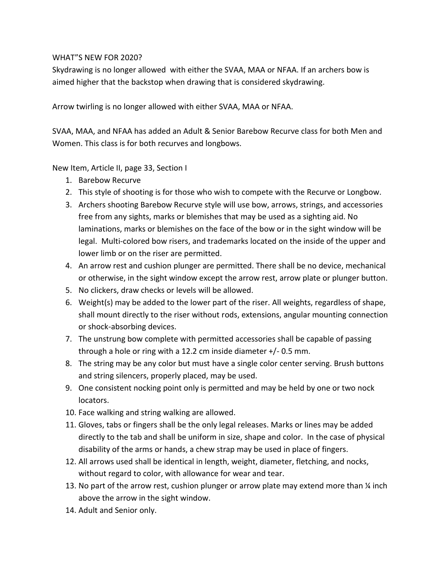## WHAT"S NEW FOR 2020?

Skydrawing is no longer allowed with either the SVAA, MAA or NFAA. If an archers bow is aimed higher that the backstop when drawing that is considered skydrawing.

Arrow twirling is no longer allowed with either SVAA, MAA or NFAA.

SVAA, MAA, and NFAA has added an Adult & Senior Barebow Recurve class for both Men and Women. This class is for both recurves and longbows.

New Item, Article II, page 33, Section I

- 1. Barebow Recurve
- 2. This style of shooting is for those who wish to compete with the Recurve or Longbow.
- 3. Archers shooting Barebow Recurve style will use bow, arrows, strings, and accessories free from any sights, marks or blemishes that may be used as a sighting aid. No laminations, marks or blemishes on the face of the bow or in the sight window will be legal. Multi-colored bow risers, and trademarks located on the inside of the upper and lower limb or on the riser are permitted.
- 4. An arrow rest and cushion plunger are permitted. There shall be no device, mechanical or otherwise, in the sight window except the arrow rest, arrow plate or plunger button.
- 5. No clickers, draw checks or levels will be allowed.
- 6. Weight(s) may be added to the lower part of the riser. All weights, regardless of shape, shall mount directly to the riser without rods, extensions, angular mounting connection or shock-absorbing devices.
- 7. The unstrung bow complete with permitted accessories shall be capable of passing through a hole or ring with a 12.2 cm inside diameter +/- 0.5 mm.
- 8. The string may be any color but must have a single color center serving. Brush buttons and string silencers, properly placed, may be used.
- 9. One consistent nocking point only is permitted and may be held by one or two nock locators.
- 10. Face walking and string walking are allowed.
- 11. Gloves, tabs or fingers shall be the only legal releases. Marks or lines may be added directly to the tab and shall be uniform in size, shape and color. In the case of physical disability of the arms or hands, a chew strap may be used in place of fingers.
- 12. All arrows used shall be identical in length, weight, diameter, fletching, and nocks, without regard to color, with allowance for wear and tear.
- 13. No part of the arrow rest, cushion plunger or arrow plate may extend more than  $\frac{1}{4}$  inch above the arrow in the sight window.
- 14. Adult and Senior only.